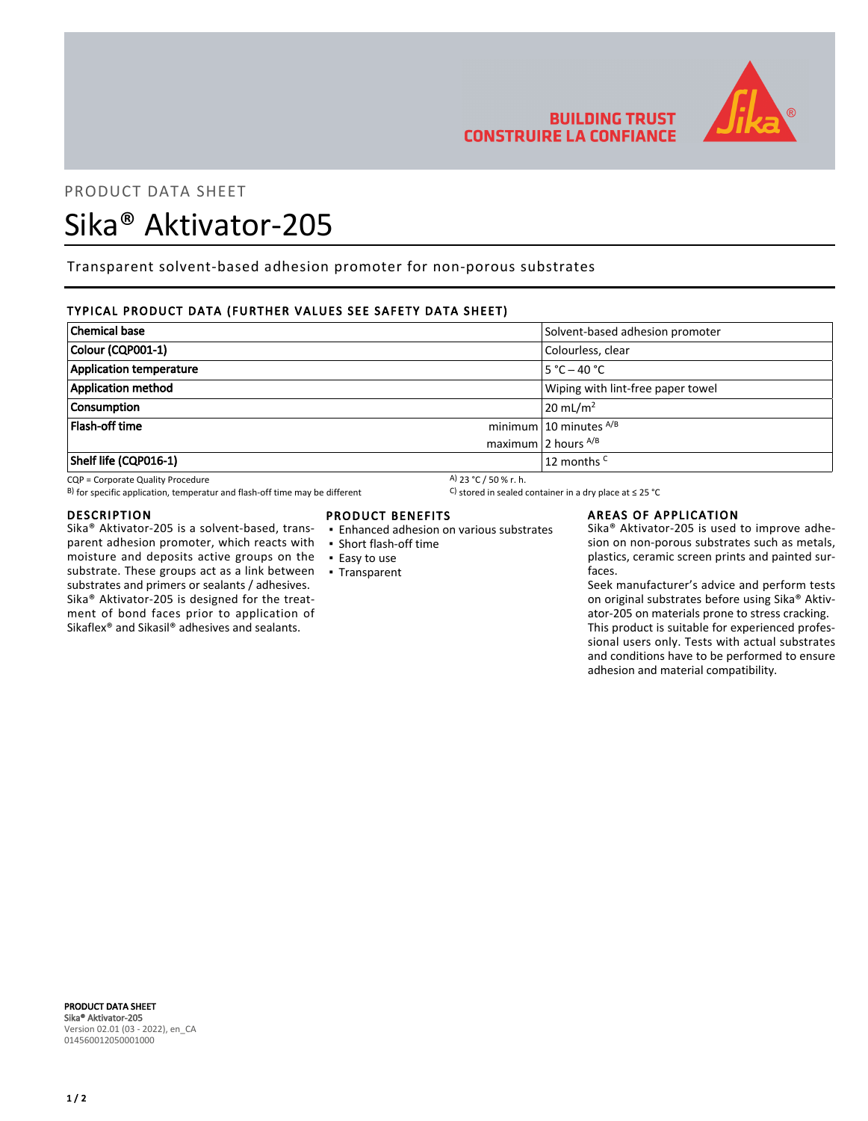

# **BUILDING TRUST CONSTRUIRE LA CONFIANCE**

# PRODUCT DATA SHEET

# Sika® Aktivator-205

Transparent solvent-based adhesion promoter for non-porous substrates

## TYPICAL PRODUCT DATA (FURTHER VALUES SEE SAFETY DATA SHEET)

| <b>Chemical base</b>           | Solvent-based adhesion promoter   |  |
|--------------------------------|-----------------------------------|--|
| Colour (CQP001-1)              | Colourless, clear                 |  |
| <b>Application temperature</b> | $5 °C - 40 °C$                    |  |
| <b>Application method</b>      | Wiping with lint-free paper towel |  |
| <b>Consumption</b>             | $20 \text{ mL/m}^2$               |  |
| Flash-off time                 | minimum 10 minutes $^{A/B}$       |  |
|                                | maximum 2 hours $^{A/B}$          |  |
| Shelf life (CQP016-1)          | 12 months <sup>C</sup>            |  |
|                                |                                   |  |

CQP = Corporate Quality Procedure<br>
B) for specific application, temperatur and flash-off time may be different<br>
B) for specific application, temperatur and flash-off time may be different<br>
C) stored in sealed container in B) for specific application, temperatur and flash-off time may be different

#### DESCRIPTION

Sika® Aktivator-205 is a solvent-based, transparent adhesion promoter, which reacts with moisture and deposits active groups on the substrate. These groups act as a link between ▪ Transparent substrates and primers or sealants / adhesives. Sika® Aktivator-205 is designed for the treatment of bond faces prior to application of Sikaflex® and Sikasil® adhesives and sealants.

### PRODUCT BENEFITS

- Enhanced adhesion on various substrates
- Short flash-off time
- Easy to use
- 

#### AREAS OF APPLICATION

Sika® Aktivator-205 is used to improve adhesion on non-porous substrates such as metals, plastics, ceramic screen prints and painted surfaces.

Seek manufacturer's advice and perform tests on original substrates before using Sika® Aktivator-205 on materials prone to stress cracking. This product is suitable for experienced professional users only. Tests with actual substrates and conditions have to be performed to ensure adhesion and material compatibility.

PRODUCT DATA SHEET Sika® Aktivator-205 Version 02.01 (03 - 2022), en\_CA 014560012050001000